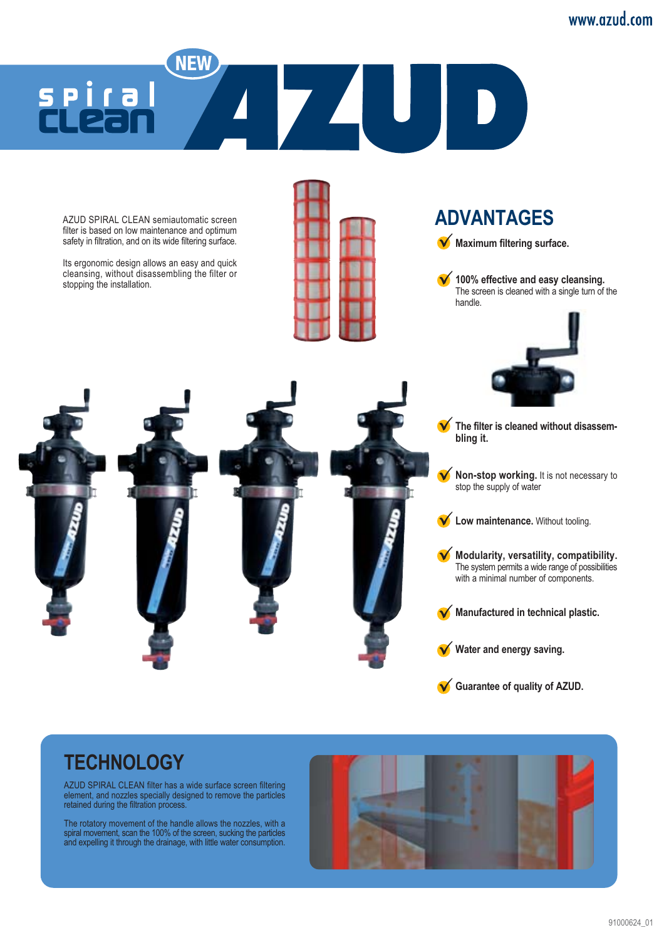#### www.azud.com

# **NEW** s piral<br>CL230

AZUD SPIRAL CLEAN semiautomatic screen filter is based on low maintenance and optimum safety in filtration, and on its wide filtering surface.

Its ergonomic design allows an easy and quick cleansing, without disassembling the filter or stopping the installation.



### **ADVANTAGES**



**100% effective and easy cleansing.** The screen is cleaned with a single turn of the handle.



**The filter is cleaned without disassembling it.**

**Non-stop working.** It is not necessary to stop the supply of water

**Low maintenance.** Without tooling.

**Modularity, versatility, compatibility.** The system permits a wide range of possibilities with a minimal number of components.

**Manufactured in technical plastic.**

**Water and energy saving.**

**Guarantee of quality of AZUD.**



AZUD SPIRAL CLEAN filter has a wide surface screen filtering element, and nozzles specially designed to remove the particles retained during the filtration process.

The rotatory movement of the handle allows the nozzles, with a spiral movement, scan the 100% of the screen, sucking the particles and expelling it through the drainage, with little water consumption.